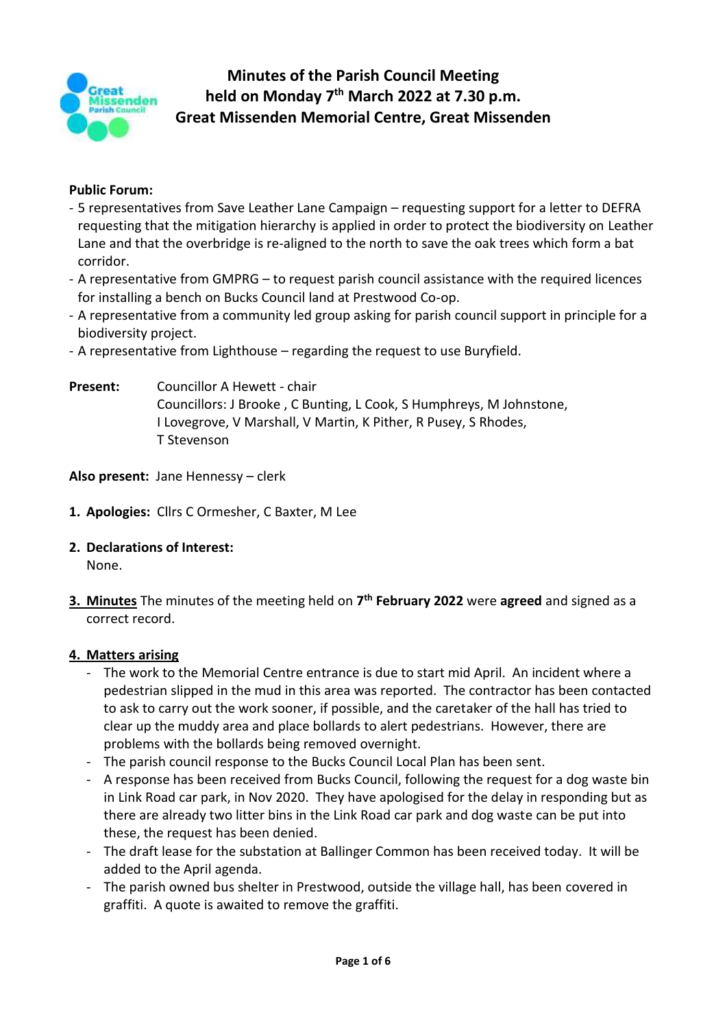

# **Minutes of the Parish Council Meeting held on Monday 7 th March 2022 at 7.30 p.m. Great Missenden Memorial Centre, Great Missenden**

#### **Public Forum:**

- 5 representatives from Save Leather Lane Campaign requesting support for a letter to DEFRA requesting that the mitigation hierarchy is applied in order to protect the biodiversity on Leather Lane and that the overbridge is re-aligned to the north to save the oak trees which form a bat corridor.
- A representative from GMPRG to request parish council assistance with the required licences for installing a bench on Bucks Council land at Prestwood Co-op.
- A representative from a community led group asking for parish council support in principle for a biodiversity project.
- A representative from Lighthouse regarding the request to use Buryfield.
- **Present:** Councillor A Hewett chair Councillors: J Brooke , C Bunting, L Cook, S Humphreys, M Johnstone, I Lovegrove, V Marshall, V Martin, K Pither, R Pusey, S Rhodes, T Stevenson

**Also present:** Jane Hennessy – clerk

- **1. Apologies:** Cllrs C Ormesher, C Baxter, M Lee
- **2. Declarations of Interest:** None.
- **3. Minutes** The minutes of the meeting held on **7 th February 2022** were **agreed** and signed as a correct record.

#### **4. Matters arising**

- The work to the Memorial Centre entrance is due to start mid April. An incident where a pedestrian slipped in the mud in this area was reported. The contractor has been contacted to ask to carry out the work sooner, if possible, and the caretaker of the hall has tried to clear up the muddy area and place bollards to alert pedestrians. However, there are problems with the bollards being removed overnight.
- The parish council response to the Bucks Council Local Plan has been sent.
- A response has been received from Bucks Council, following the request for a dog waste bin in Link Road car park, in Nov 2020. They have apologised for the delay in responding but as there are already two litter bins in the Link Road car park and dog waste can be put into these, the request has been denied.
- The draft lease for the substation at Ballinger Common has been received today. It will be added to the April agenda.
- The parish owned bus shelter in Prestwood, outside the village hall, has been covered in graffiti. A quote is awaited to remove the graffiti.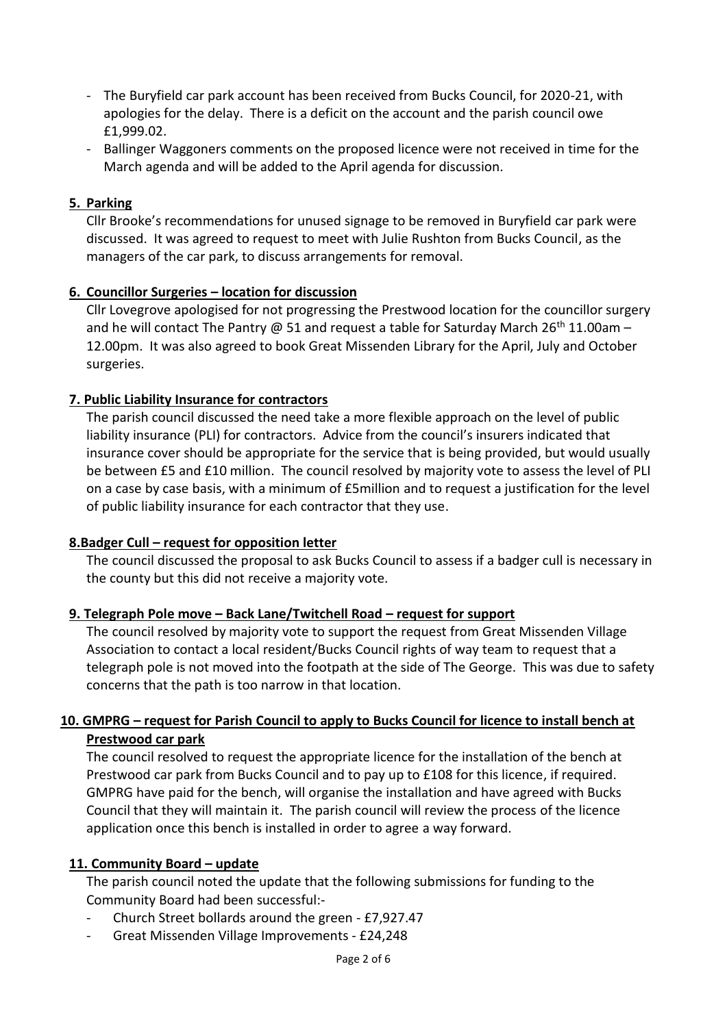- The Buryfield car park account has been received from Bucks Council, for 2020-21, with apologies for the delay. There is a deficit on the account and the parish council owe £1,999.02.
- Ballinger Waggoners comments on the proposed licence were not received in time for the March agenda and will be added to the April agenda for discussion.

#### **5. Parking**

Cllr Brooke's recommendations for unused signage to be removed in Buryfield car park were discussed. It was agreed to request to meet with Julie Rushton from Bucks Council, as the managers of the car park, to discuss arrangements for removal.

#### **6. Councillor Surgeries – location for discussion**

Cllr Lovegrove apologised for not progressing the Prestwood location for the councillor surgery and he will contact The Pantry @ 51 and request a table for Saturday March 26<sup>th</sup> 11.00am – 12.00pm. It was also agreed to book Great Missenden Library for the April, July and October surgeries.

#### **7. Public Liability Insurance for contractors**

The parish council discussed the need take a more flexible approach on the level of public liability insurance (PLI) for contractors. Advice from the council's insurers indicated that insurance cover should be appropriate for the service that is being provided, but would usually be between £5 and £10 million. The council resolved by majority vote to assess the level of PLI on a case by case basis, with a minimum of £5million and to request a justification for the level of public liability insurance for each contractor that they use.

#### **8.Badger Cull – request for opposition letter**

The council discussed the proposal to ask Bucks Council to assess if a badger cull is necessary in the county but this did not receive a majority vote.

#### **9. Telegraph Pole move – Back Lane/Twitchell Road – request for support**

The council resolved by majority vote to support the request from Great Missenden Village Association to contact a local resident/Bucks Council rights of way team to request that a telegraph pole is not moved into the footpath at the side of The George. This was due to safety concerns that the path is too narrow in that location.

## **10. GMPRG – request for Parish Council to apply to Bucks Council for licence to install bench at Prestwood car park**

The council resolved to request the appropriate licence for the installation of the bench at Prestwood car park from Bucks Council and to pay up to £108 for this licence, if required. GMPRG have paid for the bench, will organise the installation and have agreed with Bucks Council that they will maintain it. The parish council will review the process of the licence application once this bench is installed in order to agree a way forward.

#### **11. Community Board – update**

The parish council noted the update that the following submissions for funding to the Community Board had been successful:-

- Church Street bollards around the green £7,927.47
- Great Missenden Village Improvements £24,248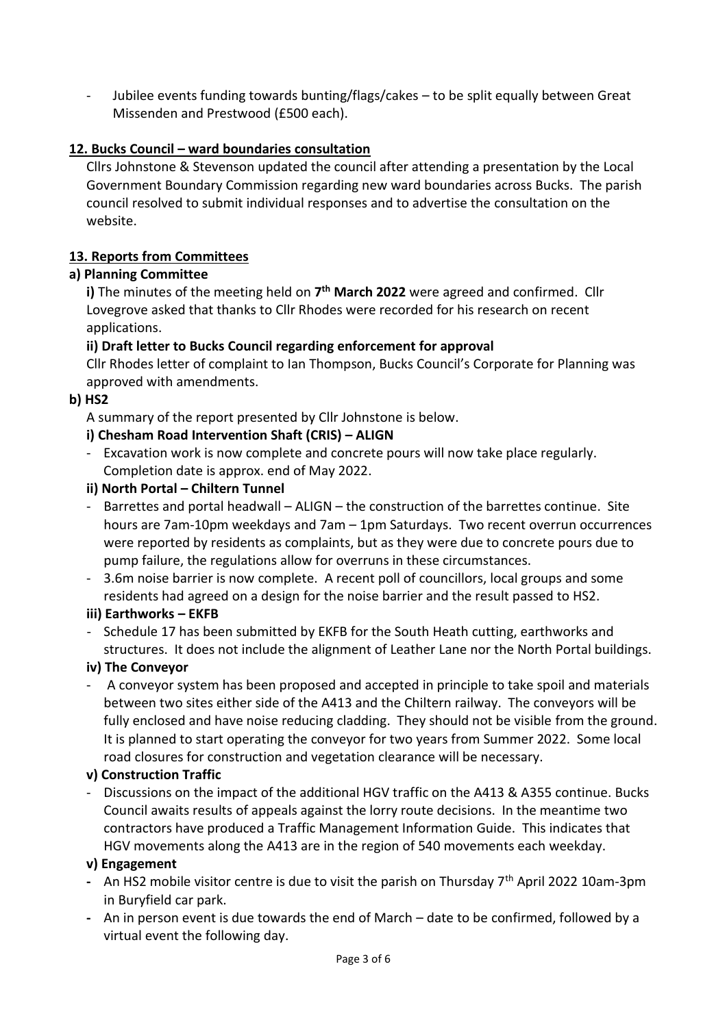Jubilee events funding towards bunting/flags/cakes - to be split equally between Great Missenden and Prestwood (£500 each).

## **12. Bucks Council – ward boundaries consultation**

Cllrs Johnstone & Stevenson updated the council after attending a presentation by the Local Government Boundary Commission regarding new ward boundaries across Bucks. The parish council resolved to submit individual responses and to advertise the consultation on the website.

## **13. Reports from Committees**

## **a) Planning Committee**

**i)** The minutes of the meeting held on **7 th March 2022** were agreed and confirmed. Cllr Lovegrove asked that thanks to Cllr Rhodes were recorded for his research on recent applications.

## **ii) Draft letter to Bucks Council regarding enforcement for approval**

Cllr Rhodes letter of complaint to Ian Thompson, Bucks Council's Corporate for Planning was approved with amendments.

## **b) HS2**

A summary of the report presented by Cllr Johnstone is below.

## **i) Chesham Road Intervention Shaft (CRIS) – ALIGN**

- Excavation work is now complete and concrete pours will now take place regularly. Completion date is approx. end of May 2022.

## **ii) North Portal – Chiltern Tunnel**

- Barrettes and portal headwall ALIGN the construction of the barrettes continue. Site hours are 7am-10pm weekdays and 7am – 1pm Saturdays. Two recent overrun occurrences were reported by residents as complaints, but as they were due to concrete pours due to pump failure, the regulations allow for overruns in these circumstances.
- 3.6m noise barrier is now complete. A recent poll of councillors, local groups and some residents had agreed on a design for the noise barrier and the result passed to HS2.

## **iii) Earthworks – EKFB**

- Schedule 17 has been submitted by EKFB for the South Heath cutting, earthworks and structures. It does not include the alignment of Leather Lane nor the North Portal buildings.

## **iv) The Conveyor**

- A conveyor system has been proposed and accepted in principle to take spoil and materials between two sites either side of the A413 and the Chiltern railway. The conveyors will be fully enclosed and have noise reducing cladding. They should not be visible from the ground. It is planned to start operating the conveyor for two years from Summer 2022. Some local road closures for construction and vegetation clearance will be necessary.

## **v) Construction Traffic**

- Discussions on the impact of the additional HGV traffic on the A413 & A355 continue. Bucks Council awaits results of appeals against the lorry route decisions. In the meantime two contractors have produced a Traffic Management Information Guide. This indicates that HGV movements along the A413 are in the region of 540 movements each weekday.

## **v) Engagement**

- **-** An HS2 mobile visitor centre is due to visit the parish on Thursday 7th April 2022 10am-3pm in Buryfield car park.
- **-** An in person event is due towards the end of March date to be confirmed, followed by a virtual event the following day.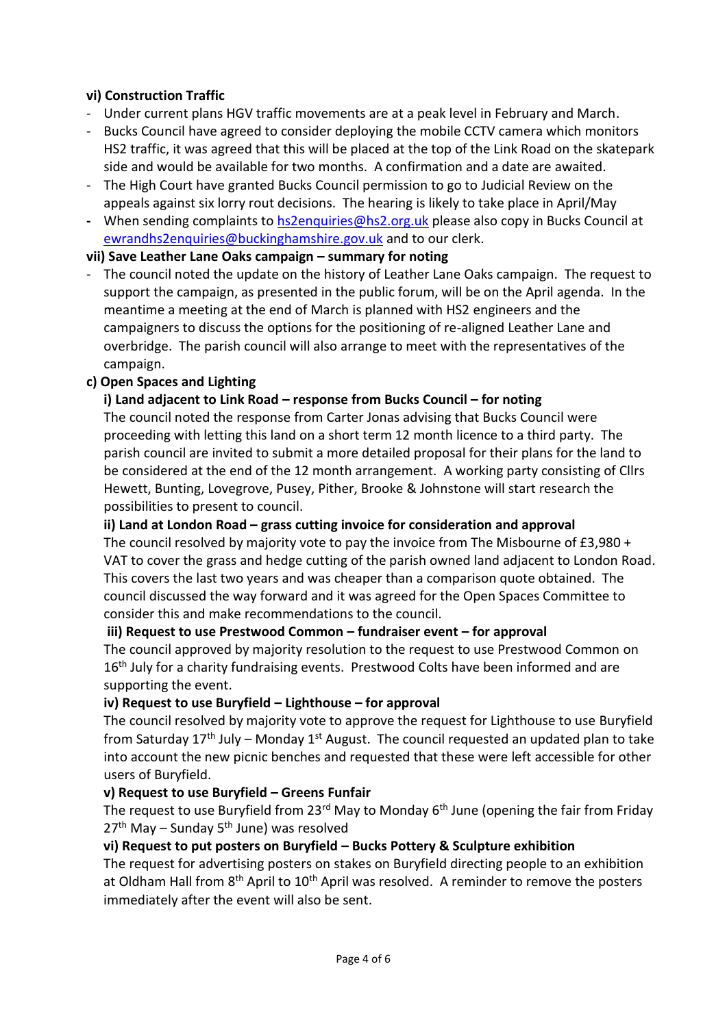## **vi) Construction Traffic**

- Under current plans HGV traffic movements are at a peak level in February and March.
- Bucks Council have agreed to consider deploying the mobile CCTV camera which monitors HS2 traffic, it was agreed that this will be placed at the top of the Link Road on the skatepark side and would be available for two months. A confirmation and a date are awaited.
- The High Court have granted Bucks Council permission to go to Judicial Review on the appeals against six lorry rout decisions. The hearing is likely to take place in April/May
- **-** When sending complaints to [hs2enquiries@hs2.org.uk](mailto:hs2enquiries@hs2.org.uk) please also copy in Bucks Council at [ewrandhs2enquiries@buckinghamshire.gov.uk](mailto:ewrandhs2enquiries@buckinghamshire.gov.uk) and to our clerk.

## **vii) Save Leather Lane Oaks campaign – summary for noting**

- The council noted the update on the history of Leather Lane Oaks campaign. The request to support the campaign, as presented in the public forum, will be on the April agenda. In the meantime a meeting at the end of March is planned with HS2 engineers and the campaigners to discuss the options for the positioning of re-aligned Leather Lane and overbridge. The parish council will also arrange to meet with the representatives of the campaign.

## **c) Open Spaces and Lighting**

## **i) Land adjacent to Link Road – response from Bucks Council – for noting**

The council noted the response from Carter Jonas advising that Bucks Council were proceeding with letting this land on a short term 12 month licence to a third party. The parish council are invited to submit a more detailed proposal for their plans for the land to be considered at the end of the 12 month arrangement. A working party consisting of Cllrs Hewett, Bunting, Lovegrove, Pusey, Pither, Brooke & Johnstone will start research the possibilities to present to council.

**ii) Land at London Road – grass cutting invoice for consideration and approval**

The council resolved by majority vote to pay the invoice from The Misbourne of £3,980 + VAT to cover the grass and hedge cutting of the parish owned land adjacent to London Road. This covers the last two years and was cheaper than a comparison quote obtained. The council discussed the way forward and it was agreed for the Open Spaces Committee to consider this and make recommendations to the council.

**iii) Request to use Prestwood Common – fundraiser event – for approval**

The council approved by majority resolution to the request to use Prestwood Common on 16<sup>th</sup> July for a charity fundraising events. Prestwood Colts have been informed and are supporting the event.

## **iv) Request to use Buryfield – Lighthouse – for approval**

The council resolved by majority vote to approve the request for Lighthouse to use Buryfield from Saturday  $17<sup>th</sup>$  July – Monday  $1<sup>st</sup>$  August. The council requested an updated plan to take into account the new picnic benches and requested that these were left accessible for other users of Buryfield.

## **v) Request to use Buryfield – Greens Funfair**

The request to use Buryfield from 23<sup>rd</sup> May to Monday  $6<sup>th</sup>$  June (opening the fair from Friday  $27<sup>th</sup>$  May – Sunday 5<sup>th</sup> June) was resolved

## **vi) Request to put posters on Buryfield – Bucks Pottery & Sculpture exhibition**

The request for advertising posters on stakes on Buryfield directing people to an exhibition at Oldham Hall from  $8<sup>th</sup>$  April to  $10<sup>th</sup>$  April was resolved. A reminder to remove the posters immediately after the event will also be sent.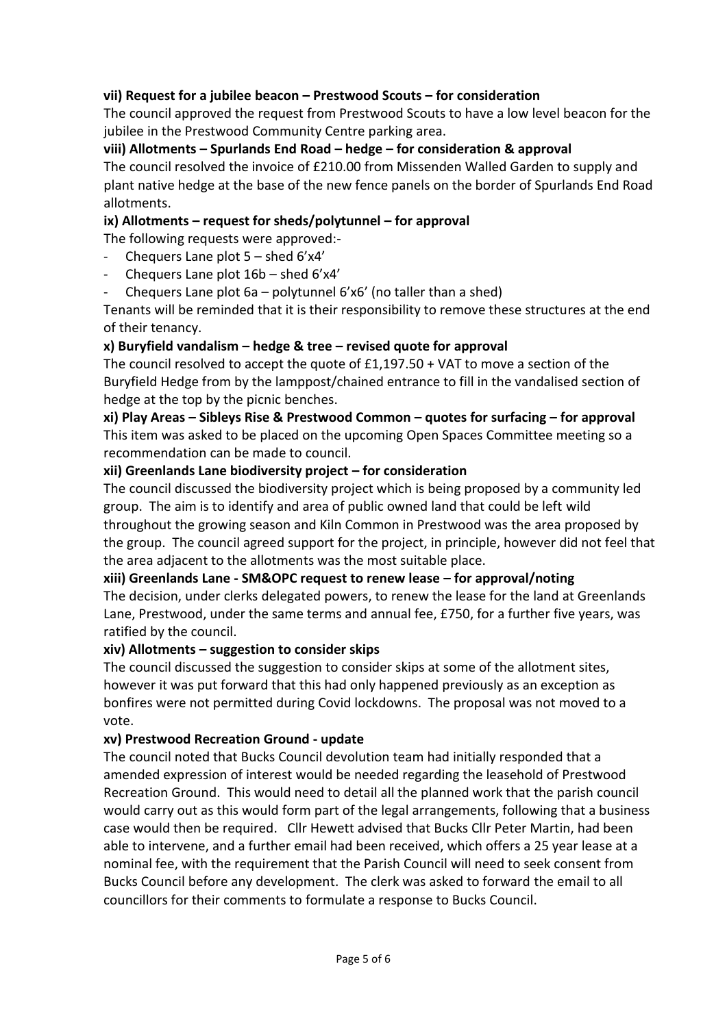## **vii) Request for a jubilee beacon – Prestwood Scouts – for consideration**

The council approved the request from Prestwood Scouts to have a low level beacon for the jubilee in the Prestwood Community Centre parking area.

## **viii) Allotments – Spurlands End Road – hedge – for consideration & approval**

The council resolved the invoice of £210.00 from Missenden Walled Garden to supply and plant native hedge at the base of the new fence panels on the border of Spurlands End Road allotments.

## **ix) Allotments – request for sheds/polytunnel – for approval**

The following requests were approved:-

- Chequers Lane plot  $5$  shed  $6'x4'$
- Chequers Lane plot 16b shed 6'x4'
- Chequers Lane plot  $6a$  polytunnel  $6'x6'$  (no taller than a shed)

Tenants will be reminded that it is their responsibility to remove these structures at the end of their tenancy.

## **x) Buryfield vandalism – hedge & tree – revised quote for approval**

The council resolved to accept the quote of £1,197.50 + VAT to move a section of the Buryfield Hedge from by the lamppost/chained entrance to fill in the vandalised section of hedge at the top by the picnic benches.

**xi) Play Areas – Sibleys Rise & Prestwood Common – quotes for surfacing – for approval** This item was asked to be placed on the upcoming Open Spaces Committee meeting so a recommendation can be made to council.

## **xii) Greenlands Lane biodiversity project – for consideration**

The council discussed the biodiversity project which is being proposed by a community led group. The aim is to identify and area of public owned land that could be left wild throughout the growing season and Kiln Common in Prestwood was the area proposed by the group. The council agreed support for the project, in principle, however did not feel that the area adjacent to the allotments was the most suitable place.

## **xiii) Greenlands Lane - SM&OPC request to renew lease – for approval/noting**

The decision, under clerks delegated powers, to renew the lease for the land at Greenlands Lane, Prestwood, under the same terms and annual fee, £750, for a further five years, was ratified by the council.

## **xiv) Allotments – suggestion to consider skips**

The council discussed the suggestion to consider skips at some of the allotment sites, however it was put forward that this had only happened previously as an exception as bonfires were not permitted during Covid lockdowns. The proposal was not moved to a vote.

## **xv) Prestwood Recreation Ground - update**

The council noted that Bucks Council devolution team had initially responded that a amended expression of interest would be needed regarding the leasehold of Prestwood Recreation Ground. This would need to detail all the planned work that the parish council would carry out as this would form part of the legal arrangements, following that a business case would then be required. Cllr Hewett advised that Bucks Cllr Peter Martin, had been able to intervene, and a further email had been received, which offers a 25 year lease at a nominal fee, with the requirement that the Parish Council will need to seek consent from Bucks Council before any development. The clerk was asked to forward the email to all councillors for their comments to formulate a response to Bucks Council.